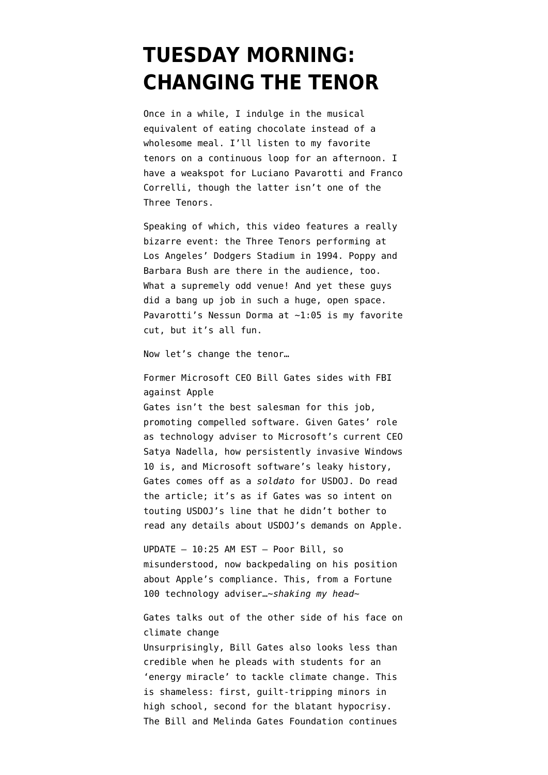## **[TUESDAY MORNING:](https://www.emptywheel.net/2016/02/23/tuesday-morning-changing-the-tenor/) [CHANGING THE TENOR](https://www.emptywheel.net/2016/02/23/tuesday-morning-changing-the-tenor/)**

Once in a while, I indulge in the musical equivalent of eating chocolate instead of a wholesome meal. I'll listen to my favorite tenors on a continuous loop for an afternoon. I have a weakspot for Luciano Pavarotti and Franco Correlli, though the latter isn't one of the Three Tenors.

Speaking of which, this video features a really bizarre event: the Three Tenors performing at Los Angeles' Dodgers Stadium in 1994. Poppy and Barbara Bush are there in the audience, too. What a supremely odd venue! And yet these guys did a bang up job in such a huge, open space. Pavarotti's Nessun Dorma at ~1:05 is my favorite cut, but it's all fun.

Now let's change the tenor…

Former Microsoft CEO Bill Gates sides with FBI against Apple Gates isn't the best salesman for this job, [promoting compelled software](http://www.bloomberg.com/news/articles/2016-02-23/bill-gates-sides-with-government-in-apple-iphone-clash-ft-says). Given Gates' role as technology adviser to Microsoft's current CEO Satya Nadella, how persistently invasive Windows 10 is, and Microsoft software's leaky history, Gates comes off as a *soldato* for USDOJ. Do read the article; it's as if Gates was so intent on touting USDOJ's line that he didn't bother to read any details about USDOJ's demands on Apple.

UPDATE — 10:25 AM EST — Poor Bill, so misunderstood, [now backpedaling on his position](http://gizmodo.com/bill-gates-sides-with-fbi-over-iphone-unlocking-1760750683) about Apple's compliance. This, from a Fortune 100 technology adviser…~*shaking my head*~

Gates talks out of the other side of his face on climate change Unsurprisingly, Bill Gates also looks less than credible when he [pleads with students for an](http://www.businessinsider.com/bill-gates-annual-letter-on-energy-crisis-2016-2) ['energy miracle'](http://www.businessinsider.com/bill-gates-annual-letter-on-energy-crisis-2016-2) to tackle climate change. This is shameless: first, guilt-tripping minors in high school, second for the blatant hypocrisy. The Bill and Melinda Gates Foundation continues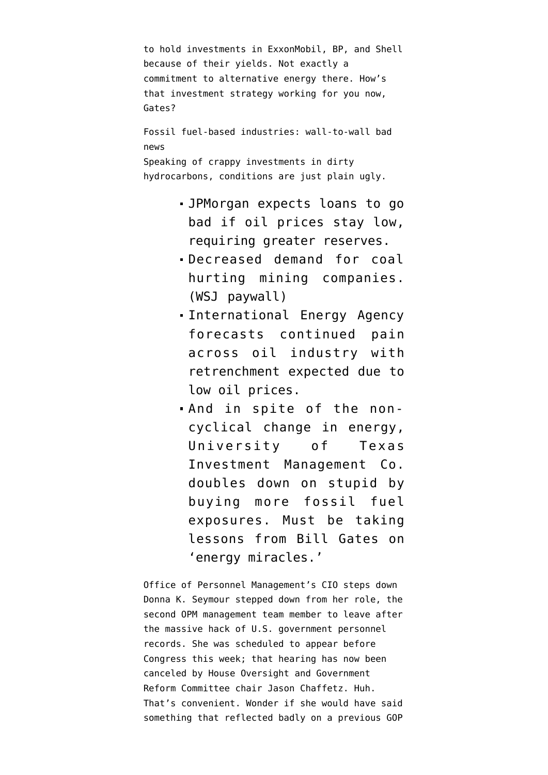```
to hold investments in ExxonMobil, BP, and Shell
because of their yields. Not exactly a
commitment to alternative energy there. How's
that investment strategy working for you now,
Gates?
Fossil fuel-based industries: wall-to-wall bad
news
Speaking of crappy investments in dirty
hydrocarbons, conditions are just plain ugly.
```
- JPMorgan [expects loans to go](http://www.bloomberg.com/news/articles/2016-02-23/jpmorgan-says-25-oil-would-force-1-5-billion-reserve-increase) [bad](http://www.bloomberg.com/news/articles/2016-02-23/jpmorgan-says-25-oil-would-force-1-5-billion-reserve-increase) if oil prices stay low, requiring greater reserves.
- Decreased demand for coal [hurting mining companies](http://www.wsj.com/articles/coals-collapse-scorches-miners-profit-margins-1456228748). (WSJ paywall)
- International Energy Agency [forecasts continued pain](http://www.bloomberg.com/news/articles/2016-02-23/iea-rings-alarm-bells-on-deeper-oil-industry-spending-cuts) [across oil industry](http://www.bloomberg.com/news/articles/2016-02-23/iea-rings-alarm-bells-on-deeper-oil-industry-spending-cuts) with retrenchment expected due to low oil prices.
- And in spite of the noncyclical change in energy, University of Texas Investment Management Co. [doubles down on stupid](http://www.bloomberg.com/news/articles/2016-02-23/texas-endowment-finds-something-to-like-about-downtrodden-energy) by buying more fossil fuel exposures. Must be taking lessons from Bill Gates on 'energy miracles.'

Office of Personnel Management's CIO steps down Donna K. Seymour [stepped down from her role](http://www.nbcnews.com/news/us-news/opm-cybersecurity-chief-resigns-hearing-hack-federal-workers-n523941), the second OPM management team member to leave after the massive hack of U.S. government personnel records. She was scheduled to appear before Congress this week; that hearing has now been canceled by House Oversight and Government Reform Committee chair Jason Chaffetz. Huh. That's convenient. Wonder if she would have said something that reflected badly on a previous GOP